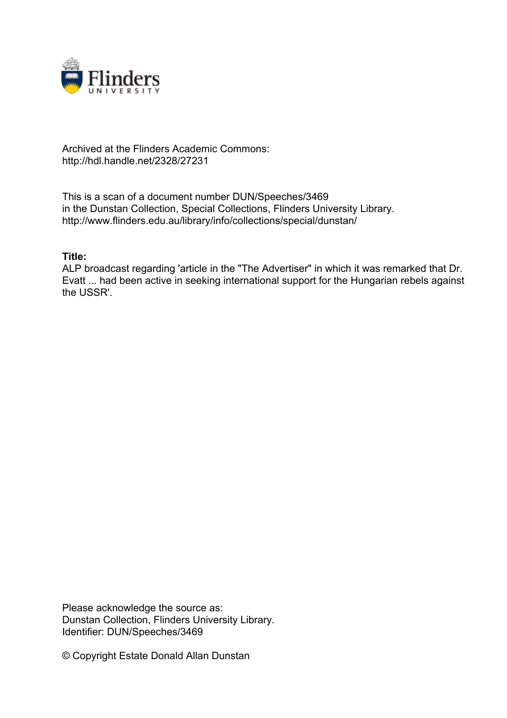

## Archived at the Flinders Academic Commons: http://hdl.handle.net/2328/27231

This is a scan of a document number DUN/Speeches/3469 in the Dunstan Collection, Special Collections, Flinders University Library. http://www.flinders.edu.au/library/info/collections/special/dunstan/

## **Title:**

ALP broadcast regarding 'article in the "The Advertiser" in which it was remarked that Dr. Evatt ... had been active in seeking international support for the Hungarian rebels against the USSR'.

Please acknowledge the source as: Dunstan Collection, Flinders University Library. Identifier: DUN/Speeches/3469

© Copyright Estate Donald Allan Dunstan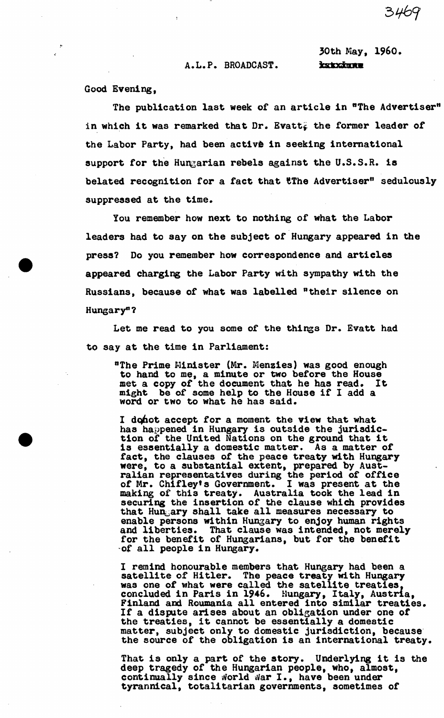A.L.P. BROADCAST. hatxings

30th May, I960.

3469

Good Evening,

The publication last week of an article in "The Advertiser" in which it was remarked that  $Dr.$  Evatt $\zeta$  the former leader of the Labor Party, had been active in seeking international support for the Hungarian rebels against the U.S.S.R. is belated recognition for a fact that the Advertiser" sedulously suppressed at the time.

You remember how next to nothing of what the Labor leaders had to say on the subject of Hungary appeared in the press? Do you remember how correspondence and articles appeared charging the Labor Party with sympathy with the Russians, because of what was labelled "their silence on Hungary"?

Let me read to you some of the things Dr. Evatt had to say at the time in Parliament:

"The Prime Minister (Mr. Menzies) was good enough to hand to me, a minute or two before the House met a copy of the document that he has read. It might be of some help to the House if I add a word or two to what he has said.

I do not accept for a moment the view that what has happened in Hungary is outside the jurisdiction of the United Nations on the ground that it is essentially a domestic matter. As a matter of fact, the clauses of the peace treaty with Hungary were, to a substantial extent, prepared by Australian representatives during the period of office of Mr. Chifley's Government. I was present at the making of this treaty. Australia took the lead in securing the insertion of the clause which provides that Hungary shall take all measures necessary to enable persons within Hungary to enjoy human rights and liberties. That clause was intended, not merely for the benefit of Hungarians, but for the benefit of all people in Hungary.

I remind honourable members that Hungary had been a satellite of Hitler. The peace treaty with Hungary was one of what were called the satellite treaties, concluded in Paris in 1946. Hungary, Italy, Austria, Finland and Roumania all entered into similar treaties. If a dispute arises about an obligation under one of the treaties, it cannot be essentially a domestic matter, subject only to domestic jurisdiction, because the source of the obligation is an international treaty.

That is only a part of the story. Underlying it is the deep tragedy of the Hungarian people, who, almost, continually since world war I., have been under tyrannical, totalitarian governments, sometimes of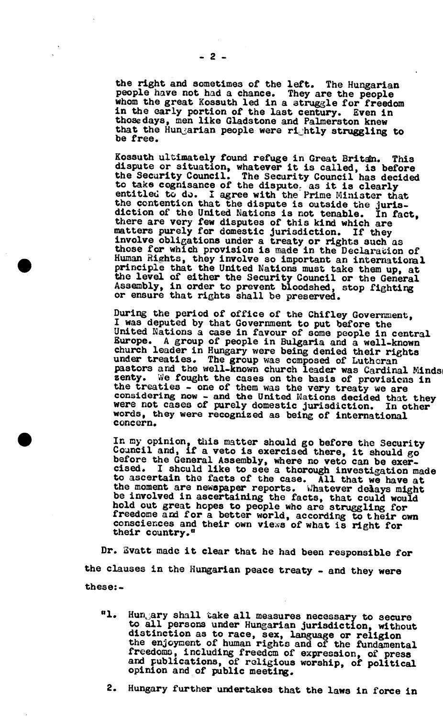the right and sometimes of the left. The Hungarian people have not had a chance. They are the people whom the great Kossuth led in a struggle for freedom in the early portion of the last century. Even in those days, men like Gladstone and Palmerston knew that the Hungarian people were rightly struggling to be free.  $\sum_{n=1}^{\infty}$  free.

Kossuth ultimately found refuge in Great Britan. This dispute or situation, whatever it is called, is before the Security Council. The Security Council has decided to take cognisance of the dispute, as it is clearly entitled to do. I agree with the Prime Minister that the contention that the dispute is outside the jurisdiction of the United Nations is not tenable. In fact, there are very few disputes of this kind which are matters purely for domestic Jurisdiction. If they involve obligations under a treaty or rights such as those for which provision is made in the Declaration of Human Eights, they involve so important an international principle that the United Nations must take them up, at the level of either the Security Council or the General Assembly, in order to prevent bloodshed, stop fighting or ensure that rights shall be preserved.

During the period of office of the Chifley Government, I was deputed by that Government to put before the United Nations a case in favour of some people in central Europe. A group of people in Bulgaria and a well-known church leader in Hungary were being denied their rights under treaties. The group was composed of Lutheran pastors and the well-known church leader was Cardinal Mindsi zenty. We fought the cases on the basis of provisions in the treaties - one of them was the very treaty we are considering now - and the United Nations decided that they were not cases of purely domestic jurisdiction. In other were not enseron on partly demobere jurisdictions. In OC. concern.

In my opinion, this matter should go before the Security Council and, if a veto is exercised there, it should go before the General Assembly, where no veto can be exercised. I should like to see a thorough investigation made to ascertain the facts of the case. All that we have at the moment are newspaper reports. Whatever delays might be involved in ascertaining the facts, that could would hold out great hopes to people who are struggling for freedome and for a better world, according to their own consciences and their own views of what is right for their country."

Dr. Svatt made it clear that he had been responsible for the clauses in the Hungarian peace treaty - and they were these:-

- "1. Hungary shall take all measures necessary to secure to all persons under Hungarian jurisdiction, without distinction as to race, sex, language or religion the enjoyment of human rights and of the fundamental freedoms, including freedom of expression, of press and publications, of religious worship, of political opinion and of public meeting.
	- 2. Hungary further undertakes that the laws in force in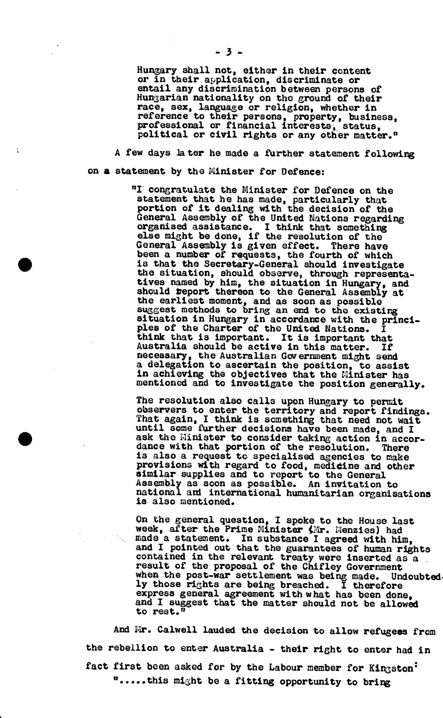Hungary shall not, either in their content or in their application, discriminate or entail any discrimination between persons of Hungarian nationality on the ground of their race, sex, language or religion, whether in reference to their persons, property, business, professional or financial interests, status, political or civil rights or any other matter.<sup>n</sup>

A few days Jater he made a further statement following on **a** statement by the Minister for Defence:

> °I congratulate the Minister for Defence on the statement that he has made, particularly that portion of it dealing with the decision of the General Assembly of the United Nations regarding<br>organised assistance. I think that something organised assistance. I think that something else might be done, if the resolution of the General Assembly is given effect. There have been a number of requests, the fourth of which is that the Secretary-General should investigate the situation, should observe, through representatives named by him, the situation in Hungary, and should report thereon to the General Assembly at the earliest moment, and as soon as possible suggest methods to bring an end to the existing situation in Hungary in accordance with the principles of the Charter of the United Nations. I think that is important. It is important that Australia should be active in this matter. If necessary, the Australian Government might send a delegation to ascertain the position, to assist in achieving the objectives that the Minister has mentioned and to investigate the position generally.

The resolution also calls upon Hungary to permit observers to enter the territory and report findings. That again, I think is something that need not wait until some further decisions have been made, and I ask the Minister to consider taking action in accordance with that portion of the resolution. There is also a request to specialised agencies to make provisions with regard to food, medicine and other similar supplies and to report to the General Assembly as soon as possible. An invitation to national and international humanitarian organisations is also mentioned.

On the general question, I spoke to the House last week, after the Prime Minister (Mr. Menzies) had made a statement. In substance I agreed with him, and I pointed out that the guarantees of human rights contained in the relevant treaty were inserted as a result of the proposal of the Chifley Government when the post-war settlement was being made. Undoubtedly those rights are being breached. I therefore express general agreement with what has been done. and I suggest that the matter should not be allowed to rest.<sup>0</sup>

And Mr. Calwell lauded the decision to allow refugees from the rebellion to enter Australia - their right to enter had in fact first been asked for by the Labour member for Kingston<sup>.</sup>  $\mathbf{u}$ .....this might be a fitting opportunity to bring